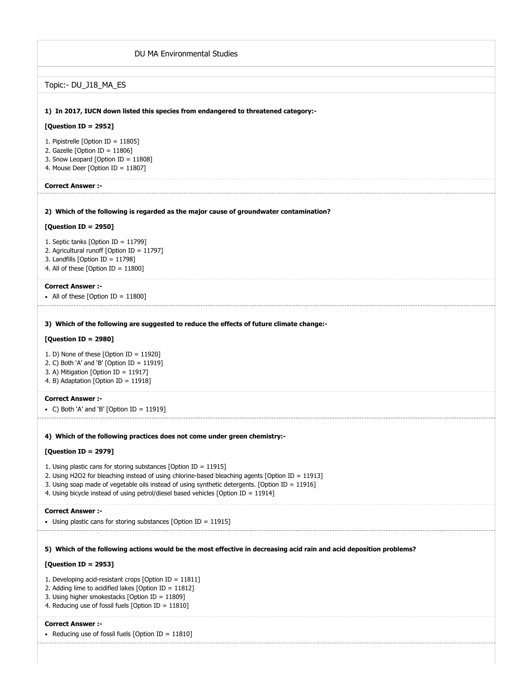| DU MA Environmental Studies                                                                                                                                                                                                                                                                                                                                      |
|------------------------------------------------------------------------------------------------------------------------------------------------------------------------------------------------------------------------------------------------------------------------------------------------------------------------------------------------------------------|
| Topic:- DU_J18_MA_ES                                                                                                                                                                                                                                                                                                                                             |
| 1) In 2017, IUCN down listed this species from endangered to threatened category:-                                                                                                                                                                                                                                                                               |
| [Question ID = 2952]                                                                                                                                                                                                                                                                                                                                             |
| 1. Pipistrelle [Option ID = 11805]<br>2. Gazelle [Option ID = $11806$ ]<br>3. Snow Leopard [Option ID = 11808]<br>4. Mouse Deer [Option ID = $11807$ ]                                                                                                                                                                                                           |
| <b>Correct Answer :-</b>                                                                                                                                                                                                                                                                                                                                         |
| 2) Which of the following is regarded as the major cause of groundwater contamination?                                                                                                                                                                                                                                                                           |
| [Question ID = 2950]                                                                                                                                                                                                                                                                                                                                             |
| 1. Septic tanks [Option ID = $11799$ ]<br>2. Agricultural runoff [Option ID = 11797]<br>3. Landfills [Option ID = $11798$ ]<br>4. All of these [Option ID = $11800$ ]                                                                                                                                                                                            |
| <b>Correct Answer :-</b><br>• All of these [Option ID = 11800]                                                                                                                                                                                                                                                                                                   |
|                                                                                                                                                                                                                                                                                                                                                                  |
| 3) Which of the following are suggested to reduce the effects of future climate change:-                                                                                                                                                                                                                                                                         |
| [Question ID = 2980]<br>1. D) None of these [Option ID = 11920]<br>2. C) Both 'A' and 'B' [Option ID = 11919]<br>3. A) Mitigation [Option ID = 11917]<br>4. B) Adaptation [Option ID = 11918]                                                                                                                                                                    |
| <b>Correct Answer:-</b><br>• C) Both 'A' and 'B' [Option ID = 11919]                                                                                                                                                                                                                                                                                             |
| 4) Which of the following practices does not come under green chemistry:-                                                                                                                                                                                                                                                                                        |
| [Question ID = 2979]                                                                                                                                                                                                                                                                                                                                             |
| 1. Using plastic cans for storing substances [Option ID = $11915$ ]<br>2. Using H2O2 for bleaching instead of using chlorine-based bleaching agents [Option ID = 11913]<br>3. Using soap made of vegetable oils instead of using synthetic detergents. [Option ID = 11916]<br>4. Using bicycle instead of using petrol/diesel based vehicles [Option ID = 11914] |
| <b>Correct Answer :-</b><br>• Using plastic cans for storing substances [Option ID = 11915]                                                                                                                                                                                                                                                                      |
| 5) Which of the following actions would be the most effective in decreasing acid rain and acid deposition problems?                                                                                                                                                                                                                                              |
| [Question ID = 2953]                                                                                                                                                                                                                                                                                                                                             |
| 1. Developing acid-resistant crops [Option ID = $11811$ ]<br>2. Adding lime to acidified lakes [Option ID = $11812$ ]<br>3. Using higher smokestacks [Option ID = 11809]<br>4. Reducing use of fossil fuels [Option ID = $11810$ ]                                                                                                                               |
| <b>Correct Answer :-</b><br>• Reducing use of fossil fuels [Option ID = $11810$ ]                                                                                                                                                                                                                                                                                |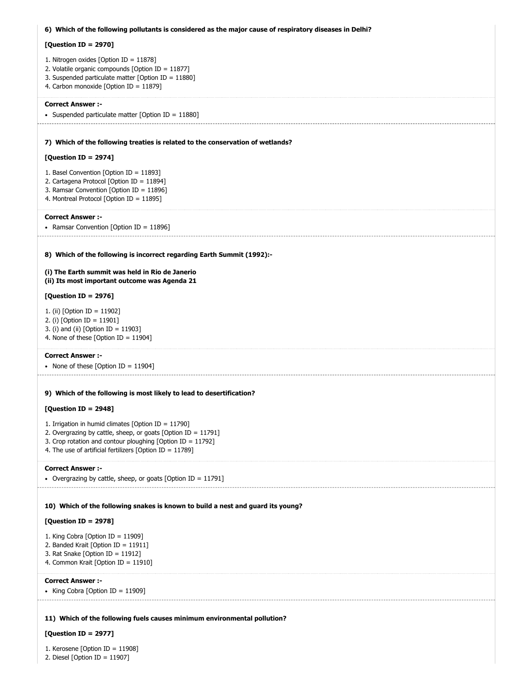| 6) Which of the following pollutants is considered as the major cause of respiratory diseases in Delhi?                                                                                                                                           |
|---------------------------------------------------------------------------------------------------------------------------------------------------------------------------------------------------------------------------------------------------|
| [Question ID = 2970]                                                                                                                                                                                                                              |
| 1. Nitrogen oxides [Option ID = 11878]<br>2. Volatile organic compounds [Option ID = 11877]<br>3. Suspended particulate matter [Option ID = 11880]<br>4. Carbon monoxide [Option ID = 11879]                                                      |
| <b>Correct Answer:-</b><br>• Suspended particulate matter [Option ID = 11880]                                                                                                                                                                     |
| 7) Which of the following treaties is related to the conservation of wetlands?                                                                                                                                                                    |
| [Question ID = 2974]                                                                                                                                                                                                                              |
| 1. Basel Convention [Option ID = 11893]<br>2. Cartagena Protocol [Option ID = 11894]<br>3. Ramsar Convention [Option ID = 11896]<br>4. Montreal Protocol [Option ID = 11895]                                                                      |
| <b>Correct Answer :-</b><br>• Ramsar Convention [Option ID = 11896]                                                                                                                                                                               |
| 8) Which of the following is incorrect regarding Earth Summit (1992):-                                                                                                                                                                            |
| (i) The Earth summit was held in Rio de Janerio<br>(ii) Its most important outcome was Agenda 21                                                                                                                                                  |
| [Question ID = 2976]                                                                                                                                                                                                                              |
| 1. (ii) [Option ID = 11902]<br>2. (i) [Option ID = 11901]<br>3. (i) and (ii) [Option ID = 11903]<br>4. None of these [Option ID = $11904$ ]                                                                                                       |
| <b>Correct Answer :-</b><br>• None of these [Option ID = 11904]                                                                                                                                                                                   |
|                                                                                                                                                                                                                                                   |
| 9) Which of the following is most likely to lead to desertification?                                                                                                                                                                              |
| [Question ID = 2948]                                                                                                                                                                                                                              |
| 1. Irrigation in humid climates [Option ID = 11790]<br>2. Overgrazing by cattle, sheep, or goats [Option ID = 11791]<br>3. Crop rotation and contour ploughing [Option ID = $11792$ ]<br>4. The use of artificial fertilizers [Option ID = 11789] |
| <b>Correct Answer :-</b><br>• Overgrazing by cattle, sheep, or goats [Option ID = 11791]                                                                                                                                                          |
| 10) Which of the following snakes is known to build a nest and guard its young?                                                                                                                                                                   |
| [Question ID = 2978]                                                                                                                                                                                                                              |
| 1. King Cobra [Option ID = 11909]<br>2. Banded Krait [Option ID = 11911]<br>3. Rat Snake [Option ID = $11912$ ]<br>4. Common Krait [Option ID = 11910]                                                                                            |
| <b>Correct Answer :-</b><br>• King Cobra [Option ID = 11909]                                                                                                                                                                                      |
|                                                                                                                                                                                                                                                   |
| 11) Which of the following fuels causes minimum environmental pollution?                                                                                                                                                                          |
| [Question ID = 2977]                                                                                                                                                                                                                              |

1. Kerosene [Option ID = 11908]

2. Diesel [Option ID = 11907]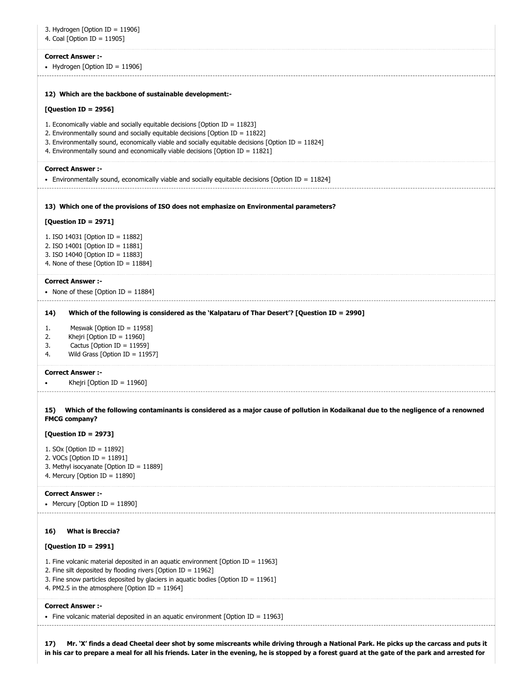| 3. Hydrogen [Option ID = 11906]<br>4. Coal [Option ID = 11905]                                                                                                                                                                                                                                                                                             |
|------------------------------------------------------------------------------------------------------------------------------------------------------------------------------------------------------------------------------------------------------------------------------------------------------------------------------------------------------------|
| <b>Correct Answer :-</b><br>• Hydrogen [Option ID = 11906]                                                                                                                                                                                                                                                                                                 |
| 12) Which are the backbone of sustainable development:-                                                                                                                                                                                                                                                                                                    |
| [Question ID = 2956]                                                                                                                                                                                                                                                                                                                                       |
| 1. Economically viable and socially equitable decisions [Option ID = $11823$ ]<br>2. Environmentally sound and socially equitable decisions [Option ID = $11822$ ]<br>3. Environmentally sound, economically viable and socially equitable decisions [Option ID = 11824]<br>4. Environmentally sound and economically viable decisions [Option ID = 11821] |
| <b>Correct Answer :-</b><br>• Environmentally sound, economically viable and socially equitable decisions [Option ID = 11824]                                                                                                                                                                                                                              |
| 13) Which one of the provisions of ISO does not emphasize on Environmental parameters?<br>[Question ID = 2971]                                                                                                                                                                                                                                             |
| 1. ISO 14031 [Option ID = 11882]<br>2. ISO 14001 [Option ID = 11881]<br>3. ISO 14040 [Option ID = 11883]<br>4. None of these [Option ID = $11884$ ]                                                                                                                                                                                                        |
| <b>Correct Answer :-</b><br>• None of these $[Option ID = 11884]$                                                                                                                                                                                                                                                                                          |
| Which of the following is considered as the `Kalpataru of Thar Desert'? [Question ID = 2990]<br>14)                                                                                                                                                                                                                                                        |
| Meswak [Option ID = $11958$ ]<br>1.<br>Khejri [Option ID = $11960$ ]<br>2.<br>Cactus [Option ID = $11959$ ]<br>3.<br>Wild Grass [Option ID = $11957$ ]<br>4.                                                                                                                                                                                               |
| <b>Correct Answer :-</b><br>Khejri [Option ID = $11960$ ]                                                                                                                                                                                                                                                                                                  |
| 15) Which of the following contaminants is considered as a major cause of pollution in Kodaikanal due to the negligence of a renowned<br><b>FMCG company?</b>                                                                                                                                                                                              |
| [Question ID = 2973]                                                                                                                                                                                                                                                                                                                                       |
| 1. SOx [Option ID = $11892$ ]<br>2. VOCs [Option ID = $11891$ ]<br>3. Methyl isocyanate [Option ID = 11889]<br>4. Mercury [Option ID = 11890]                                                                                                                                                                                                              |
| <b>Correct Answer :-</b><br>• Mercury [Option ID = 11890]                                                                                                                                                                                                                                                                                                  |
| <b>What is Breccia?</b><br>16)                                                                                                                                                                                                                                                                                                                             |
| [Question ID = 2991]                                                                                                                                                                                                                                                                                                                                       |
| 1. Fine volcanic material deposited in an aquatic environment [Option ID = 11963]<br>2. Fine silt deposited by flooding rivers [Option ID = $11962$ ]<br>3. Fine snow particles deposited by glaciers in aquatic bodies [Option ID = 11961]<br>4. PM2.5 in the atmosphere [Option ID = 11964]                                                              |
| <b>Correct Answer:-</b><br>• Fine volcanic material deposited in an aquatic environment [Option ID = 11963]                                                                                                                                                                                                                                                |

**17) Mr. 'X' finds a dead Cheetal deer shot by some miscreants while driving through a National Park. He picks up the carcass and puts it in his car to prepare a meal for all his friends. Later in the evening, he is stopped by a forest guard at the gate of the park and arrested for**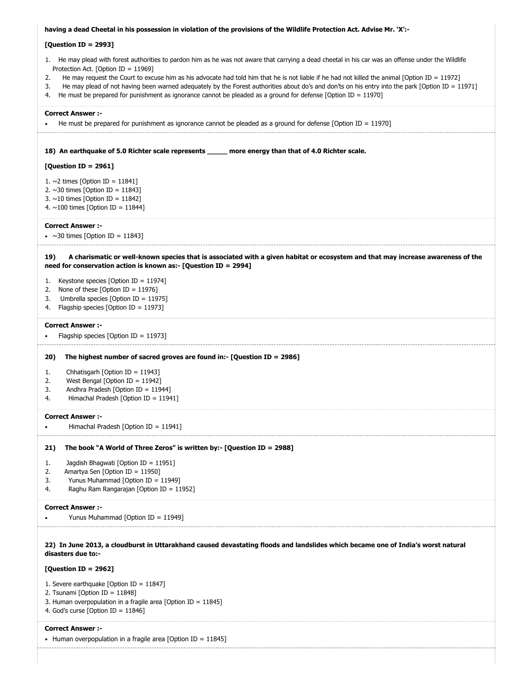| having a dead Cheetal in his possession in violation of the provisions of the Wildlife Protection Act. Advise Mr. 'X':-                                                                                                                                                                                                                                                                                                                                                                                                                                                                                                            |
|------------------------------------------------------------------------------------------------------------------------------------------------------------------------------------------------------------------------------------------------------------------------------------------------------------------------------------------------------------------------------------------------------------------------------------------------------------------------------------------------------------------------------------------------------------------------------------------------------------------------------------|
| [Question ID = 2993]                                                                                                                                                                                                                                                                                                                                                                                                                                                                                                                                                                                                               |
| 1. He may plead with forest authorities to pardon him as he was not aware that carrying a dead cheetal in his car was an offense under the Wildlife<br>Protection Act. [Option ID = 11969]<br>He may request the Court to excuse him as his advocate had told him that he is not liable if he had not killed the animal [Option ID = 11972]<br>2.<br>He may plead of not having been warned adequately by the Forest authorities about do's and don'ts on his entry into the park [Option ID = 11971]<br>3.<br>He must be prepared for punishment as ignorance cannot be pleaded as a ground for defense [Option ID = 11970]<br>4. |
| <b>Correct Answer :-</b><br>He must be prepared for punishment as ignorance cannot be pleaded as a ground for defense [Option ID = 11970]                                                                                                                                                                                                                                                                                                                                                                                                                                                                                          |
| 18) An earthquake of 5.0 Richter scale represents _____ more energy than that of 4.0 Richter scale.                                                                                                                                                                                                                                                                                                                                                                                                                                                                                                                                |
| [Question ID = 2961]                                                                                                                                                                                                                                                                                                                                                                                                                                                                                                                                                                                                               |
| 1. ~2 times [Option ID = 11841]<br>2. $\sim$ 30 times [Option ID = 11843]<br>3. ~10 times [Option ID = 11842]<br>4. ~100 times [Option ID = 11844]                                                                                                                                                                                                                                                                                                                                                                                                                                                                                 |
| <b>Correct Answer:-</b><br>• $\sim$ 30 times [Option ID = 11843]                                                                                                                                                                                                                                                                                                                                                                                                                                                                                                                                                                   |
| A charismatic or well-known species that is associated with a given habitat or ecosystem and that may increase awareness of the<br>19)<br>need for conservation action is known as:- [Question ID = 2994]                                                                                                                                                                                                                                                                                                                                                                                                                          |
| Keystone species [Option ID = $11974$ ]<br>1.                                                                                                                                                                                                                                                                                                                                                                                                                                                                                                                                                                                      |
| None of these [Option ID = $11976$ ]<br>2.<br>Umbrella species [Option ID = $11975$ ]<br>3.                                                                                                                                                                                                                                                                                                                                                                                                                                                                                                                                        |
| Flagship species [Option ID = $11973$ ]<br>4.                                                                                                                                                                                                                                                                                                                                                                                                                                                                                                                                                                                      |
| <b>Correct Answer :-</b>                                                                                                                                                                                                                                                                                                                                                                                                                                                                                                                                                                                                           |
| Flagship species [Option ID = 11973]                                                                                                                                                                                                                                                                                                                                                                                                                                                                                                                                                                                               |
| The highest number of sacred groves are found in:- $[Question ID = 2986]$<br>20)                                                                                                                                                                                                                                                                                                                                                                                                                                                                                                                                                   |
| Chhatisgarh [Option ID = $11943$ ]<br>1.<br>West Bengal [Option ID = $11942$ ]<br>2.                                                                                                                                                                                                                                                                                                                                                                                                                                                                                                                                               |
| Andhra Pradesh [Option ID = 11944]<br>3.                                                                                                                                                                                                                                                                                                                                                                                                                                                                                                                                                                                           |
| Himachal Pradesh [Option ID = 11941]<br>4.                                                                                                                                                                                                                                                                                                                                                                                                                                                                                                                                                                                         |
| <b>Correct Answer :-</b>                                                                                                                                                                                                                                                                                                                                                                                                                                                                                                                                                                                                           |
| Himachal Pradesh [Option ID = 11941]                                                                                                                                                                                                                                                                                                                                                                                                                                                                                                                                                                                               |
| The book "A World of Three Zeros" is written by:- [Question ID = 2988]<br>21)                                                                                                                                                                                                                                                                                                                                                                                                                                                                                                                                                      |
| Jagdish Bhagwati [Option ID = 11951]<br>1.<br>Amartya Sen [Option ID = 11950]<br>2.                                                                                                                                                                                                                                                                                                                                                                                                                                                                                                                                                |
| Yunus Muhammad [Option ID = 11949]<br>3.                                                                                                                                                                                                                                                                                                                                                                                                                                                                                                                                                                                           |
| Raghu Ram Rangarajan [Option ID = 11952]<br>4.                                                                                                                                                                                                                                                                                                                                                                                                                                                                                                                                                                                     |
| <b>Correct Answer:-</b><br>Yunus Muhammad [Option ID = 11949]                                                                                                                                                                                                                                                                                                                                                                                                                                                                                                                                                                      |
|                                                                                                                                                                                                                                                                                                                                                                                                                                                                                                                                                                                                                                    |
| 22) In June 2013, a cloudburst in Uttarakhand caused devastating floods and landslides which became one of India's worst natural<br>disasters due to:-                                                                                                                                                                                                                                                                                                                                                                                                                                                                             |
| [Question ID = 2962]                                                                                                                                                                                                                                                                                                                                                                                                                                                                                                                                                                                                               |
| 1. Severe earthquake [Option ID = $11847$ ]                                                                                                                                                                                                                                                                                                                                                                                                                                                                                                                                                                                        |
| 2. Tsunami [Option ID = 11848]                                                                                                                                                                                                                                                                                                                                                                                                                                                                                                                                                                                                     |
| 3. Human overpopulation in a fragile area [Option ID = $11845$ ]<br>4. God's curse [Option ID = $11846$ ]                                                                                                                                                                                                                                                                                                                                                                                                                                                                                                                          |
| <b>Correct Answer:-</b>                                                                                                                                                                                                                                                                                                                                                                                                                                                                                                                                                                                                            |
| • Human overpopulation in a fragile area [Option ID = 11845]                                                                                                                                                                                                                                                                                                                                                                                                                                                                                                                                                                       |
|                                                                                                                                                                                                                                                                                                                                                                                                                                                                                                                                                                                                                                    |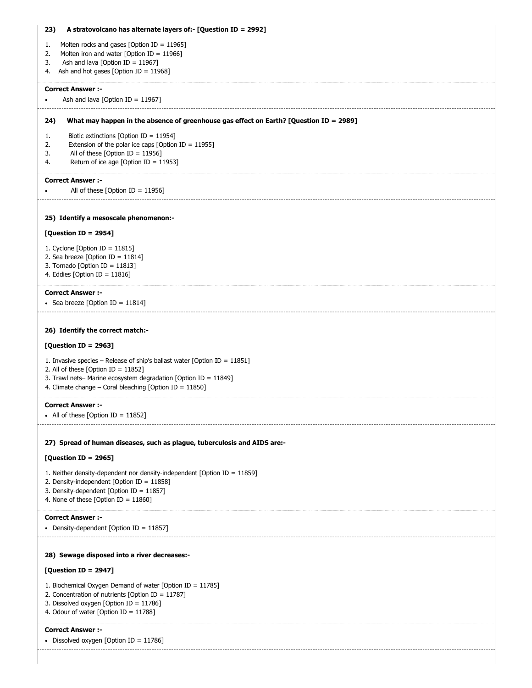| 23)<br>A stratovolcano has alternate layers of:- [Question ID = 2992]                                                      |
|----------------------------------------------------------------------------------------------------------------------------|
| Molten rocks and gases [Option ID = $11965$ ]<br>1.                                                                        |
| Molten iron and water [Option ID = $11966$ ]<br>2.                                                                         |
| Ash and lava [Option ID = $11967$ ]<br>3.<br>Ash and hot gases [Option ID = $11968$ ]<br>4.                                |
|                                                                                                                            |
| <b>Correct Answer:-</b><br>Ash and lava [Option ID = $11967$ ]                                                             |
|                                                                                                                            |
| What may happen in the absence of greenhouse gas effect on Earth? [Question ID = 2989]<br>24)                              |
| Biotic extinctions [Option ID = $11954$ ]<br>1.                                                                            |
| Extension of the polar ice caps [Option ID = $11955$ ]<br>2.<br>All of these [Option ID = $11956$ ]<br>3.                  |
| Return of ice age [Option ID = 11953]<br>4.                                                                                |
| <b>Correct Answer:-</b>                                                                                                    |
| All of these [Option ID = $11956$ ]                                                                                        |
|                                                                                                                            |
| 25) Identify a mesoscale phenomenon:-                                                                                      |
| [Question ID = 2954]                                                                                                       |
|                                                                                                                            |
| 1. Cyclone [Option ID = $11815$ ]<br>2. Sea breeze [Option ID = $11814$ ]                                                  |
| 3. Tornado [Option ID = $11813$ ]                                                                                          |
| 4. Eddies [Option ID = $11816$ ]                                                                                           |
| <b>Correct Answer :-</b>                                                                                                   |
| • Sea breeze [Option ID = 11814]                                                                                           |
|                                                                                                                            |
| 26) Identify the correct match:-                                                                                           |
| [Question ID = 2963]                                                                                                       |
| 1. Invasive species – Release of ship's ballast water [Option ID = $11851$ ]                                               |
| 2. All of these [Option ID = $11852$ ]                                                                                     |
| 3. Trawl nets- Marine ecosystem degradation [Option ID = 11849]<br>4. Climate change - Coral bleaching [Option ID = 11850] |
|                                                                                                                            |
| <b>Correct Answer :-</b>                                                                                                   |
| • All of these [Option ID = 11852]                                                                                         |
|                                                                                                                            |
| 27) Spread of human diseases, such as plague, tuberculosis and AIDS are:-                                                  |
| [Question ID = 2965]                                                                                                       |
| 1. Neither density-dependent nor density-independent [Option ID = $11859$ ]                                                |
| 2. Density-independent [Option ID = 11858]                                                                                 |
| 3. Density-dependent [Option ID = 11857]<br>4. None of these [Option ID = $11860$ ]                                        |
|                                                                                                                            |
| <b>Correct Answer:-</b><br>• Density-dependent [Option ID = 11857]                                                         |
|                                                                                                                            |
| 28) Sewage disposed into a river decreases:-                                                                               |
| [Question ID = 2947]                                                                                                       |
|                                                                                                                            |
| 1. Biochemical Oxygen Demand of water [Option ID = 11785]<br>2. Concentration of nutrients [Option ID = $11787$ ]          |
| 3. Dissolved oxygen [Option ID = 11786]                                                                                    |
| 4. Odour of water [Option ID = $11788$ ]                                                                                   |
| <b>Correct Answer :-</b>                                                                                                   |
| • Dissolved oxygen [Option ID = $11786$ ]                                                                                  |
|                                                                                                                            |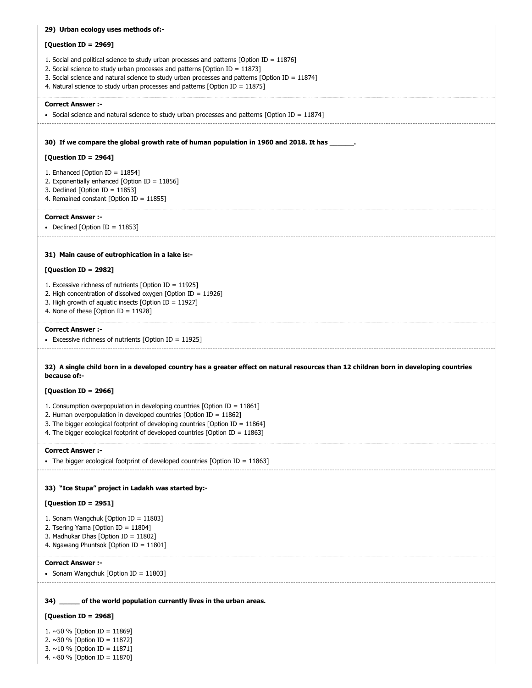| 29) Urban ecology uses methods of:-                                                                                                                                                                                                                                                                                                                               |
|-------------------------------------------------------------------------------------------------------------------------------------------------------------------------------------------------------------------------------------------------------------------------------------------------------------------------------------------------------------------|
| [Question ID = 2969]                                                                                                                                                                                                                                                                                                                                              |
| 1. Social and political science to study urban processes and patterns [Option ID = $11876$ ]<br>2. Social science to study urban processes and patterns [Option ID = 11873]<br>3. Social science and natural science to study urban processes and patterns [Option ID = $11874$ ]<br>4. Natural science to study urban processes and patterns [Option ID = 11875] |
| <b>Correct Answer :-</b><br>• Social science and natural science to study urban processes and patterns [Option ID = 11874]                                                                                                                                                                                                                                        |
| 30) If we compare the global growth rate of human population in 1960 and 2018. It has                                                                                                                                                                                                                                                                             |
| [Question ID = 2964]                                                                                                                                                                                                                                                                                                                                              |
| 1. Enhanced [Option ID = $11854$ ]<br>2. Exponentially enhanced [Option ID = 11856]<br>3. Declined [Option ID = $11853$ ]<br>4. Remained constant [Option ID = 11855]                                                                                                                                                                                             |
| <b>Correct Answer :-</b><br>• Declined [Option ID = 11853]                                                                                                                                                                                                                                                                                                        |
| 31) Main cause of eutrophication in a lake is:-                                                                                                                                                                                                                                                                                                                   |
| [Question ID = 2982]                                                                                                                                                                                                                                                                                                                                              |
| 1. Excessive richness of nutrients [Option ID = 11925]<br>2. High concentration of dissolved oxygen [Option ID = 11926]<br>3. High growth of aquatic insects [Option ID = 11927]<br>4. None of these [Option ID = $11928$ ]                                                                                                                                       |
| <b>Correct Answer :-</b><br>• Excessive richness of nutrients [Option ID = 11925]                                                                                                                                                                                                                                                                                 |
| 32) A single child born in a developed country has a greater effect on natural resources than 12 children born in developing countries<br>because of:-                                                                                                                                                                                                            |
| [Question ID = 2966]                                                                                                                                                                                                                                                                                                                                              |
| 1. Consumption overpopulation in developing countries [Option ID = 11861]<br>2. Human overpopulation in developed countries [Option ID = 11862]<br>3. The bigger ecological footprint of developing countries (Option ID = $11864$ )<br>4. The bigger ecological footprint of developed countries [Option ID = 11863]                                             |
| <b>Correct Answer:-</b><br>• The bigger ecological footprint of developed countries [Option ID = $11863$ ]                                                                                                                                                                                                                                                        |
| 33) "Ice Stupa" project in Ladakh was started by:-                                                                                                                                                                                                                                                                                                                |
| [Question ID = 2951]                                                                                                                                                                                                                                                                                                                                              |
| 1. Sonam Wangchuk [Option ID = 11803]<br>2. Tsering Yama [Option ID = 11804]<br>3. Madhukar Dhas [Option ID = 11802]<br>4. Ngawang Phuntsok [Option ID = 11801]                                                                                                                                                                                                   |
|                                                                                                                                                                                                                                                                                                                                                                   |
| <b>Correct Answer :-</b><br>• Sonam Wangchuk [Option ID = 11803]                                                                                                                                                                                                                                                                                                  |
| 34) _____ of the world population currently lives in the urban areas.                                                                                                                                                                                                                                                                                             |
| [Question ID = 2968]                                                                                                                                                                                                                                                                                                                                              |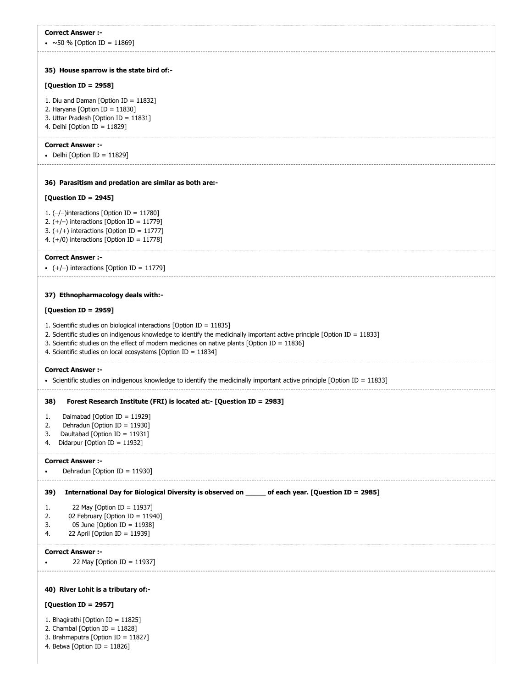| <b>Correct Answer :-</b>                                                                                                 |
|--------------------------------------------------------------------------------------------------------------------------|
| • ~50 % [Option ID = 11869]                                                                                              |
|                                                                                                                          |
| 35) House sparrow is the state bird of:-                                                                                 |
|                                                                                                                          |
| [Question ID = 2958]                                                                                                     |
| 1. Diu and Daman [Option ID = 11832]                                                                                     |
| 2. Haryana [Option ID = $11830$ ]                                                                                        |
| 3. Uttar Pradesh [Option ID = 11831]                                                                                     |
| 4. Delhi [Option ID = $11829$ ]                                                                                          |
|                                                                                                                          |
| <b>Correct Answer :-</b>                                                                                                 |
| • Delhi [Option ID = $11829$ ]                                                                                           |
|                                                                                                                          |
| 36) Parasitism and predation are similar as both are:-                                                                   |
| [Question ID = 2945]                                                                                                     |
| 1. $(-/-)$ interactions [Option ID = 11780]                                                                              |
| 2. $(+/-)$ interactions [Option ID = 11779]                                                                              |
| 3. $(+/+)$ interactions [Option ID = 11777]                                                                              |
| 4. $(+/0)$ interactions [Option ID = 11778]                                                                              |
|                                                                                                                          |
| <b>Correct Answer:-</b>                                                                                                  |
| • $(+/-)$ interactions [Option ID = 11779]                                                                               |
|                                                                                                                          |
| 37) Ethnopharmacology deals with:-                                                                                       |
| [Question ID = 2959]                                                                                                     |
|                                                                                                                          |
| 1. Scientific studies on biological interactions [Option ID = $11835$ ]                                                  |
| 2. Scientific studies on indigenous knowledge to identify the medicinally important active principle [Option ID = 11833] |
| 3. Scientific studies on the effect of modern medicines on native plants [Option ID = $11836$ ]                          |
| 4. Scientific studies on local ecosystems [Option ID = 11834]                                                            |
| <b>Correct Answer :-</b>                                                                                                 |
| • Scientific studies on indigenous knowledge to identify the medicinally important active principle [Option ID = 11833]  |
|                                                                                                                          |
| 38)<br>Forest Research Institute (FRI) is located at:- [Question ID = 2983]                                              |
| Daimabad [Option ID = 11929]<br>1.                                                                                       |
| Dehradun [Option ID = 11930]<br>2.                                                                                       |
| Daultabad [Option ID = 11931]<br>3.                                                                                      |
| Didarpur [Option ID = 11932]<br>4.                                                                                       |
| <b>Correct Answer :-</b>                                                                                                 |
| Dehradun [Option ID = 11930]<br>٠                                                                                        |
|                                                                                                                          |
| International Day for Biological Diversity is observed on _____ of each year. [Question ID = 2985]<br>39)                |
| 22 May [Option ID = 11937]<br>1.                                                                                         |
| 2.<br>02 February [Option ID = 11940]                                                                                    |
| 3.<br>05 June [Option ID = $11938$ ]                                                                                     |
| 22 April [Option ID = 11939]<br>4.                                                                                       |
| <b>Correct Answer :-</b>                                                                                                 |
| 22 May [Option ID = 11937]                                                                                               |
|                                                                                                                          |
|                                                                                                                          |
| 40) River Lohit is a tributary of:-                                                                                      |
| [Question ID = 2957]                                                                                                     |
|                                                                                                                          |

1. Bhagirathi [Option ID = 11825]

2. Chambal [Option ID = 11828]

3. Brahmaputra [Option ID = 11827]

4. Betwa [Option ID = 11826]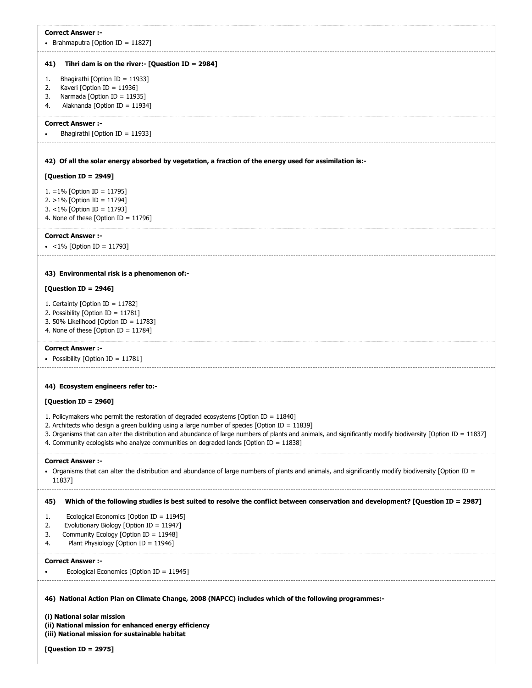| <b>Correct Answer:-</b><br>• Brahmaputra [Option ID = 11827]                                                                                                 |
|--------------------------------------------------------------------------------------------------------------------------------------------------------------|
| Tihri dam is on the river:- [Question ID = 2984]<br>41)                                                                                                      |
| Bhagirathi [Option ID = 11933]<br>1.                                                                                                                         |
| Kaveri [Option ID = $11936$ ]<br>2.                                                                                                                          |
| Narmada [Option ID = 11935]<br>3.                                                                                                                            |
| Alaknanda [Option ID = 11934]<br>4.                                                                                                                          |
| <b>Correct Answer:-</b>                                                                                                                                      |
| Bhagirathi [Option ID = 11933]                                                                                                                               |
|                                                                                                                                                              |
| 42) Of all the solar energy absorbed by vegetation, a fraction of the energy used for assimilation is:-                                                      |
|                                                                                                                                                              |
| [Question ID = 2949]                                                                                                                                         |
| 1. = 1% [Option ID = 11795]                                                                                                                                  |
| 2. $>1\%$ [Option ID = 11794]                                                                                                                                |
| 3. <1% [Option ID = 11793]<br>4. None of these [Option ID = $11796$ ]                                                                                        |
|                                                                                                                                                              |
| <b>Correct Answer:-</b>                                                                                                                                      |
| • <1% [Option ID = 11793]                                                                                                                                    |
|                                                                                                                                                              |
| 43) Environmental risk is a phenomenon of:-                                                                                                                  |
| [Question ID = 2946]                                                                                                                                         |
|                                                                                                                                                              |
| 1. Certainty [Option ID = $11782$ ]                                                                                                                          |
| 2. Possibility [Option ID = 11781]<br>3. 50% Likelihood [Option ID = $11783$ ]                                                                               |
| 4. None of these [Option ID = $11784$ ]                                                                                                                      |
|                                                                                                                                                              |
| <b>Correct Answer :-</b>                                                                                                                                     |
| • Possibility [Option ID = 11781]                                                                                                                            |
|                                                                                                                                                              |
| 44) Ecosystem engineers refer to:-                                                                                                                           |
| [Question ID = 2960]                                                                                                                                         |
| 1. Policymakers who permit the restoration of degraded ecosystems [Option ID = $11840$ ]                                                                     |
| 2. Architects who design a green building using a large number of species [Option ID = $11839$ ]                                                             |
| 3. Organisms that can alter the distribution and abundance of large numbers of plants and animals, and significantly modify biodiversity [Option ID = 11837] |
| 4. Community ecologists who analyze communities on degraded lands [Option ID = 11838]                                                                        |
| <b>Correct Answer :-</b>                                                                                                                                     |
| • Organisms that can alter the distribution and abundance of large numbers of plants and animals, and significantly modify biodiversity [Option ID =         |
| 11837]                                                                                                                                                       |
|                                                                                                                                                              |
| 45)<br>Which of the following studies is best suited to resolve the conflict between conservation and development? [Question ID = 2987]                      |
| Ecological Economics [Option ID = 11945]<br>1.                                                                                                               |
| 2.<br>Evolutionary Biology [Option ID = 11947]                                                                                                               |
| 3.<br>Community Ecology [Option ID = 11948]                                                                                                                  |
| 4.<br>Plant Physiology [Option ID = 11946]                                                                                                                   |
| <b>Correct Answer :-</b>                                                                                                                                     |
| Ecological Economics [Option ID = 11945]                                                                                                                     |
|                                                                                                                                                              |
| 46) National Action Plan on Climate Change, 2008 (NAPCC) includes which of the following programmes:-                                                        |
|                                                                                                                                                              |
| (i) National solar mission                                                                                                                                   |
| (ii) National mission for enhanced energy efficiency                                                                                                         |
| (iii) National mission for sustainable habitat                                                                                                               |
| [Question ID = 2975]                                                                                                                                         |